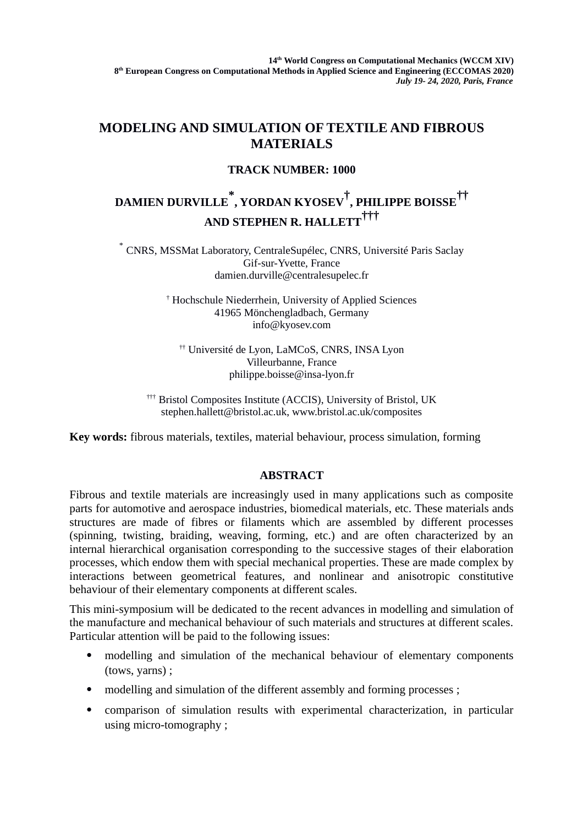## **MODELING AND SIMULATION OF TEXTILE AND FIBROUS MATERIALS**

## **TRACK NUMBER: 1000**

## **DAMIEN DURVILLE \* , YORDAN KYOSEV† , PHILIPPE BOISSE†† AND STEPHEN R. HALLETT†††**

\* CNRS, MSSMat Laboratory, CentraleSupélec, CNRS, Université Paris Saclay Gif-sur-Yvette, France damien.durville@centralesupelec.fr

> † Hochschule Niederrhein, University of Applied Sciences 41965 Mönchengladbach, Germany info@kyosev.com

†† Université de Lyon, LaMCoS, CNRS, INSA Lyon Villeurbanne, France philippe.boisse@insa-lyon.fr

††† Bristol Composites Institute (ACCIS), University of Bristol, UK stephen.hallett@bristol.ac.uk, www.bristol.ac.uk/composites

**Key words:** fibrous materials, textiles, material behaviour, process simulation, forming

## **ABSTRACT**

Fibrous and textile materials are increasingly used in many applications such as composite parts for automotive and aerospace industries, biomedical materials, etc. These materials ands structures are made of fibres or filaments which are assembled by different processes (spinning, twisting, braiding, weaving, forming, etc.) and are often characterized by an internal hierarchical organisation corresponding to the successive stages of their elaboration processes, which endow them with special mechanical properties. These are made complex by interactions between geometrical features, and nonlinear and anisotropic constitutive behaviour of their elementary components at different scales.

This mini-symposium will be dedicated to the recent advances in modelling and simulation of the manufacture and mechanical behaviour of such materials and structures at different scales. Particular attention will be paid to the following issues:

- modelling and simulation of the mechanical behaviour of elementary components (tows, yarns) ;
- modelling and simulation of the different assembly and forming processes;
- comparison of simulation results with experimental characterization, in particular using micro-tomography ;